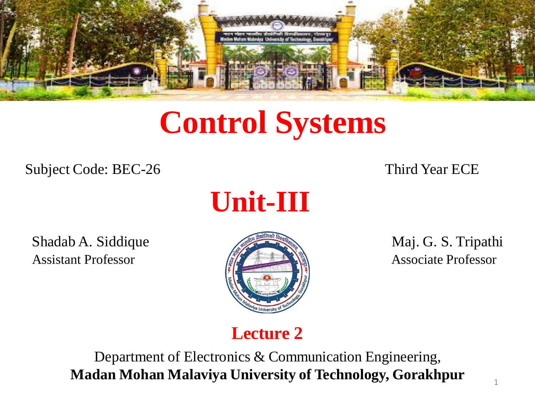

# **Control Systems**

Subject Code: BEC-26 Third Year ECE



Shadab A. Siddique Maj. G. S. Tripathi Assistant Professor **Associate Professor** Associate Professor



#### **Lecture 2**

Department of Electronics & Communication Engineering, **Madan Mohan Malaviya University of Technology, Gorakhpur**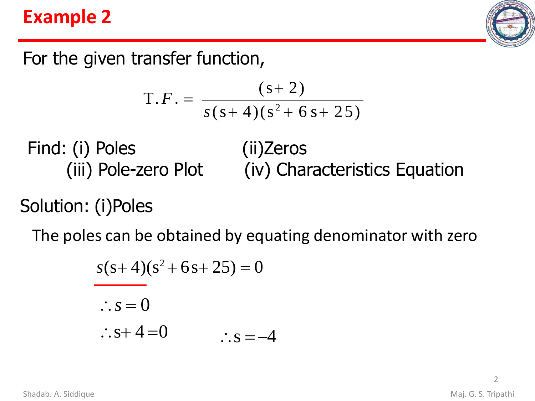#### **Example 2**



For the given transfer function,

$$
T.F. = \frac{(s+2)}{s(s+4)(s^2+6s+25)}
$$

Find: (i) Poles (iii) Pole-zero Plot (ii)Zeros (iv) Characteristics Equation

Solution: (i)Poles

The poles can be obtained by equating denominator with zero

$$
s(s+4)(s2+6s+25) = 0
$$
  
∴ s = 0  
∴ s+4=0  
∴ s = -4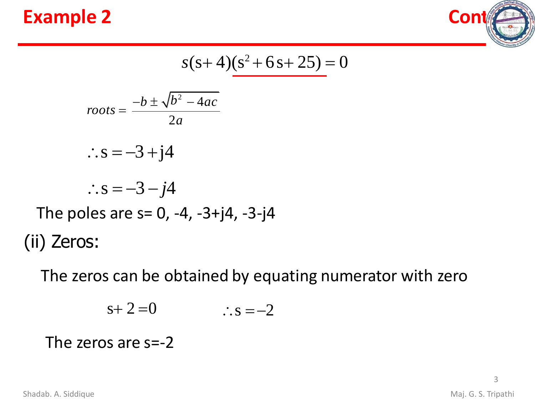



$$
s(s+4)(s^2+6s+25) = 0
$$

$$
roots = \frac{-b \pm \sqrt{b^2 - 4ac}}{2a}
$$

$$
\therefore s = -3 + j4
$$

$$
\therefore s = -3 - j4
$$

The poles are  $s= 0, -4, -3+j4, -3-j4$ (ii) Zeros:

The zeros can be obtained by equating numerator with zero

$$
s+2=0 \qquad \qquad \therefore s=-2
$$

#### The zeros are s=-2

Shadab. A. Siddique **Maj. G. S. Tripathi**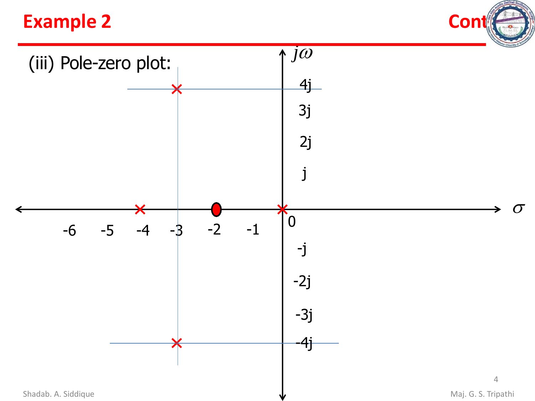#### **Example 2 Contract 2**



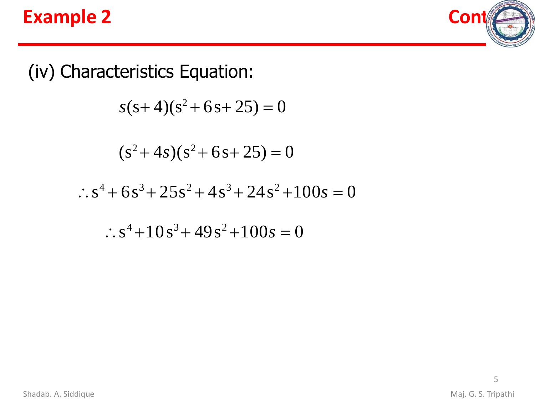



(iv) Characteristics Equation:

 $s(s+4)(s^2+6s+25)=0$ 

$$
(s^2 + 4s)(s^2 + 6s + 25) = 0
$$

 $\therefore$  s<sup>4</sup> + 6s<sup>3</sup> + 25s<sup>2</sup> + 4s<sup>3</sup> + 24s<sup>2</sup> + 100s = 0

 $\therefore$  s<sup>4</sup> +10s<sup>3</sup> + 49s<sup>2</sup> +100s = 0

5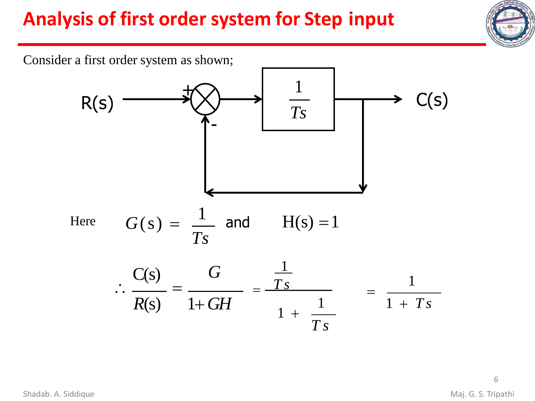

Consider a first order system as shown;

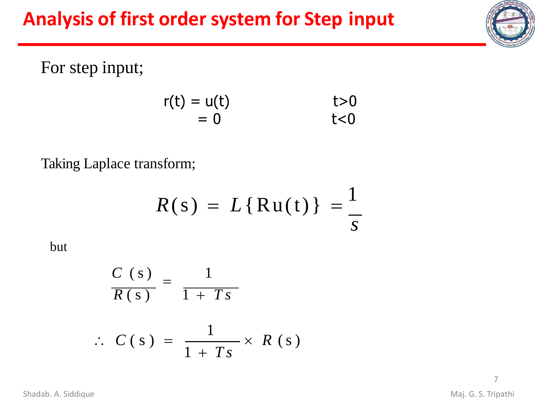



For step input;

$$
r(t) = u(t) \qquad t>0= 0 \qquad t<0
$$

Taking Laplace transform;

$$
R(s) = L\{\text{Ru}(t)\} = \frac{1}{s}
$$

but

$$
\frac{C(s)}{R(s)} = \frac{1}{1+Ts}
$$
  
\n
$$
\therefore C(s) = \frac{1}{1+Ts} \times R(s)
$$

Shadab. A. Siddique **Maj. G. S. Tripathi**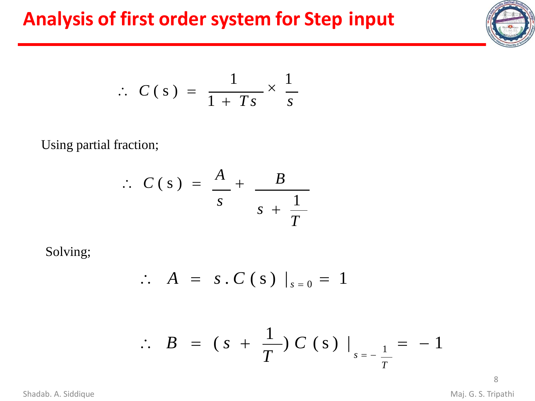

$$
\therefore C(s) = \frac{1}{1+Ts} \times \frac{1}{s}
$$

Using partial fraction;

$$
\therefore C(s) = \frac{A}{s} + \frac{B}{s + \frac{1}{T}}
$$

Solving;

$$
\therefore A = s.C(s) |_{s=0} = 1
$$

$$
\therefore B = (s + \frac{1}{T}) C (s) |_{s = -\frac{1}{T}} = -1
$$

8

Shadab. A. Siddique **Maj. G. S. Tripathi**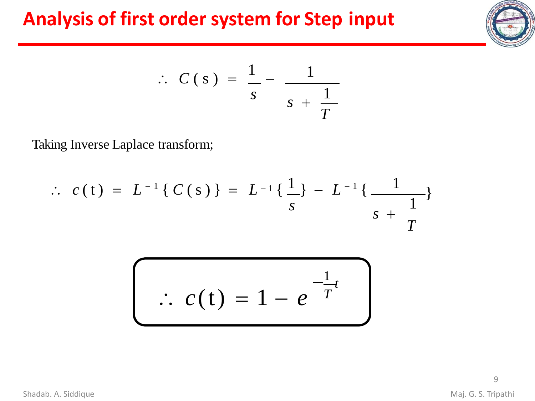

$$
\therefore C(s) = \frac{1}{s} - \frac{1}{s + \frac{1}{T}}
$$

Taking Inverse Laplace transform;

$$
\therefore c(t) = L^{-1} \{ C(s) \} = L^{-1} \{ \frac{1}{s} \} - L^{-1} \{ \frac{1}{s + \frac{1}{T}} \}
$$

$$
\therefore c(t) = 1 - e^{-\frac{1}{T}}
$$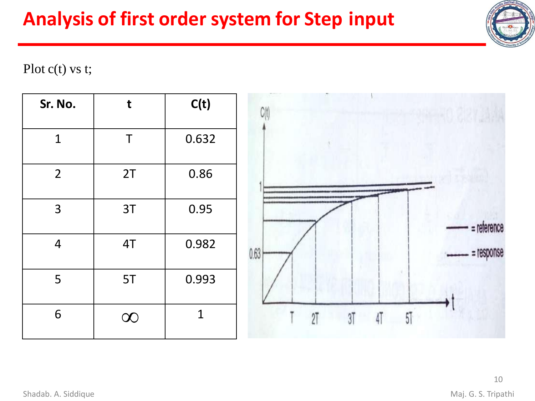

#### Plot c(t) vs t;

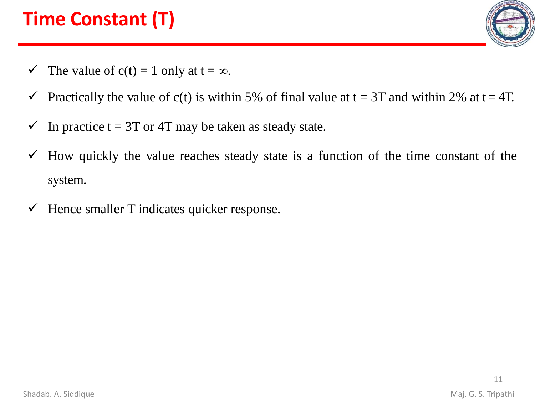# **Time Constant (T)**



- $\checkmark$  The value of c(t) = 1 only at t =  $\infty$ .
- $\checkmark$  Practically the value of c(t) is within 5% of final value at t = 3T and within 2% at t = 4T.
- $\checkmark$  In practice t = 3T or 4T may be taken as steady state.
- $\checkmark$  How quickly the value reaches steady state is a function of the time constant of the system.
- $\checkmark$  Hence smaller T indicates quicker response.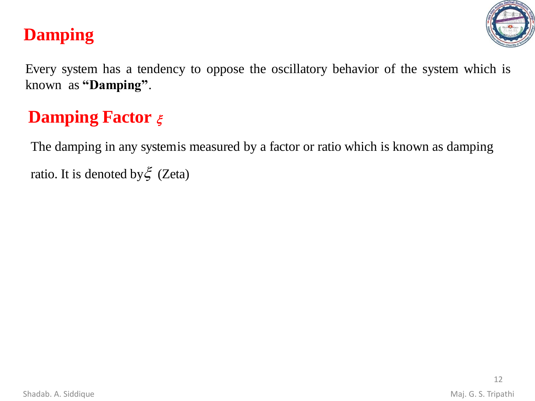

#### **Damping**

Every system has a tendency to oppose the oscillatory behavior of the system which is known as **"Damping"**.

#### **Damping Factor**  $\xi$

The damping in any systemis measured by a factor or ratio which is known as damping ratio. It is denoted by  $\xi$  (Zeta)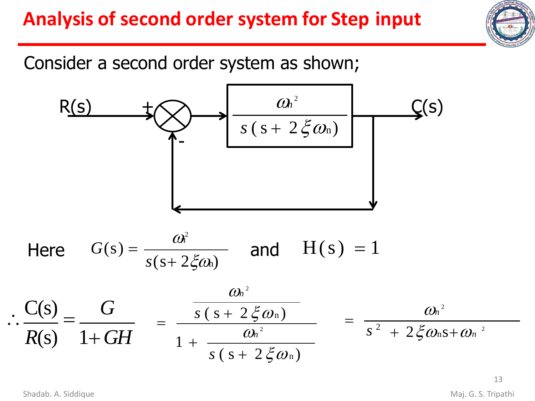

Consider a second order system as shown;



13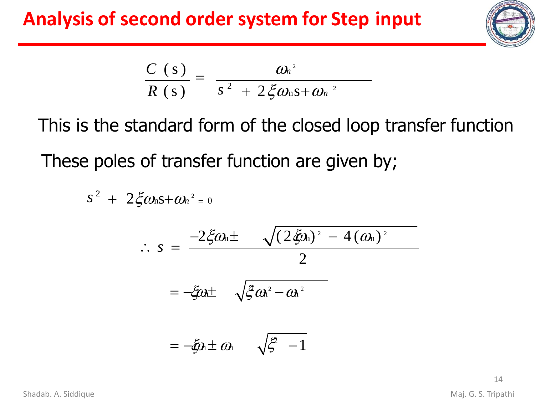

$$
\frac{C(s)}{R(s)} = \frac{\omega_n^2}{s^2 + 2 \xi \omega_n s + \omega_n^2}
$$

This is the standard form of the closed loop transfer function These poles of transfer function are given by;

$$
s^{2} + 2\xi\omega_{n}s + \omega_{n}^{2} = 0
$$
  
\n
$$
\therefore s = \frac{-2\xi\omega_{n} \pm \sqrt{(2\xi\omega_{n})^{2} - 4(\omega_{n})^{2}}}{2}
$$
  
\n
$$
= -\xi\omega_{n} \pm \sqrt{\xi\omega_{n}^{2} - \omega_{n}^{2}}
$$
  
\n
$$
= -\xi\omega_{n} \pm \omega_{n} \sqrt{\xi - 1}
$$